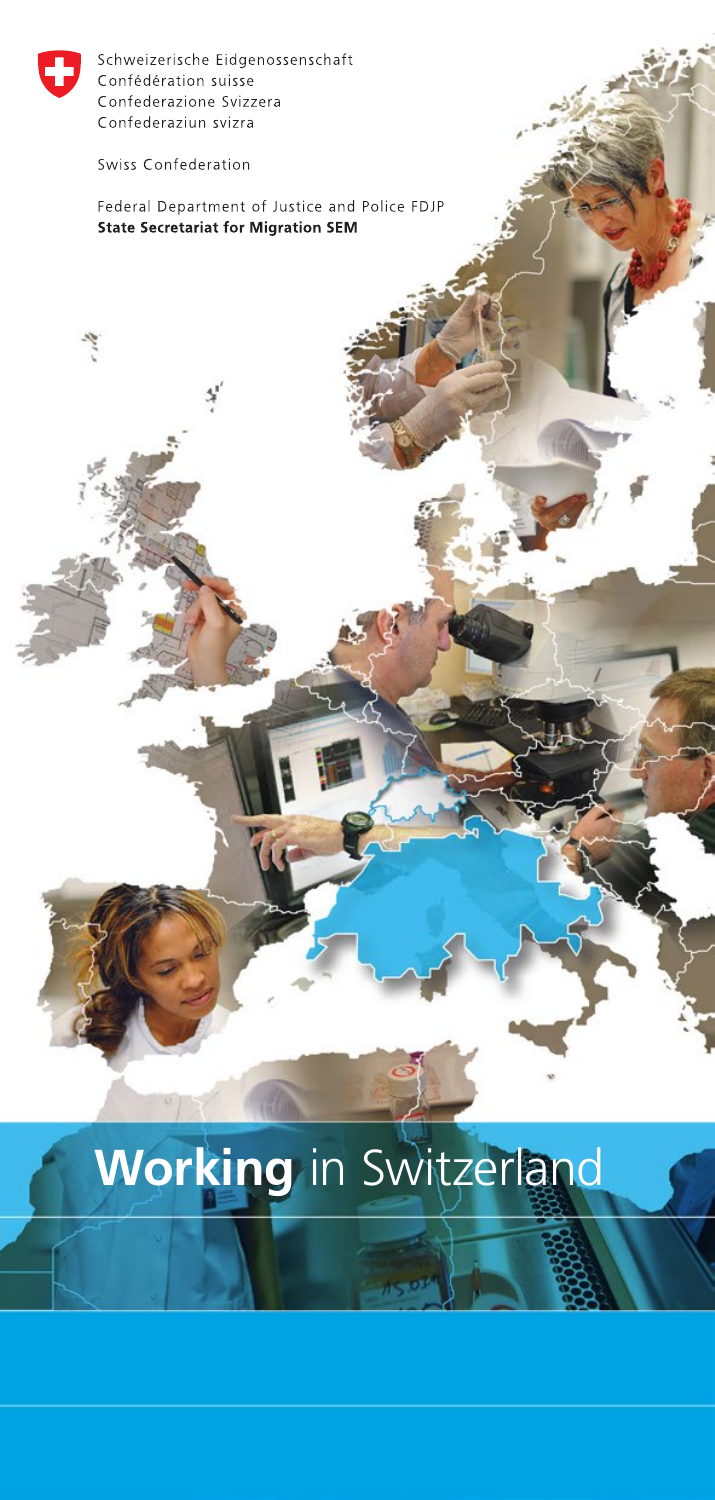

Swiss Confederation

Federal Department of Justice and Police FDJP **State Secretariat for Migration SEM** 

# **Working** in Switzerland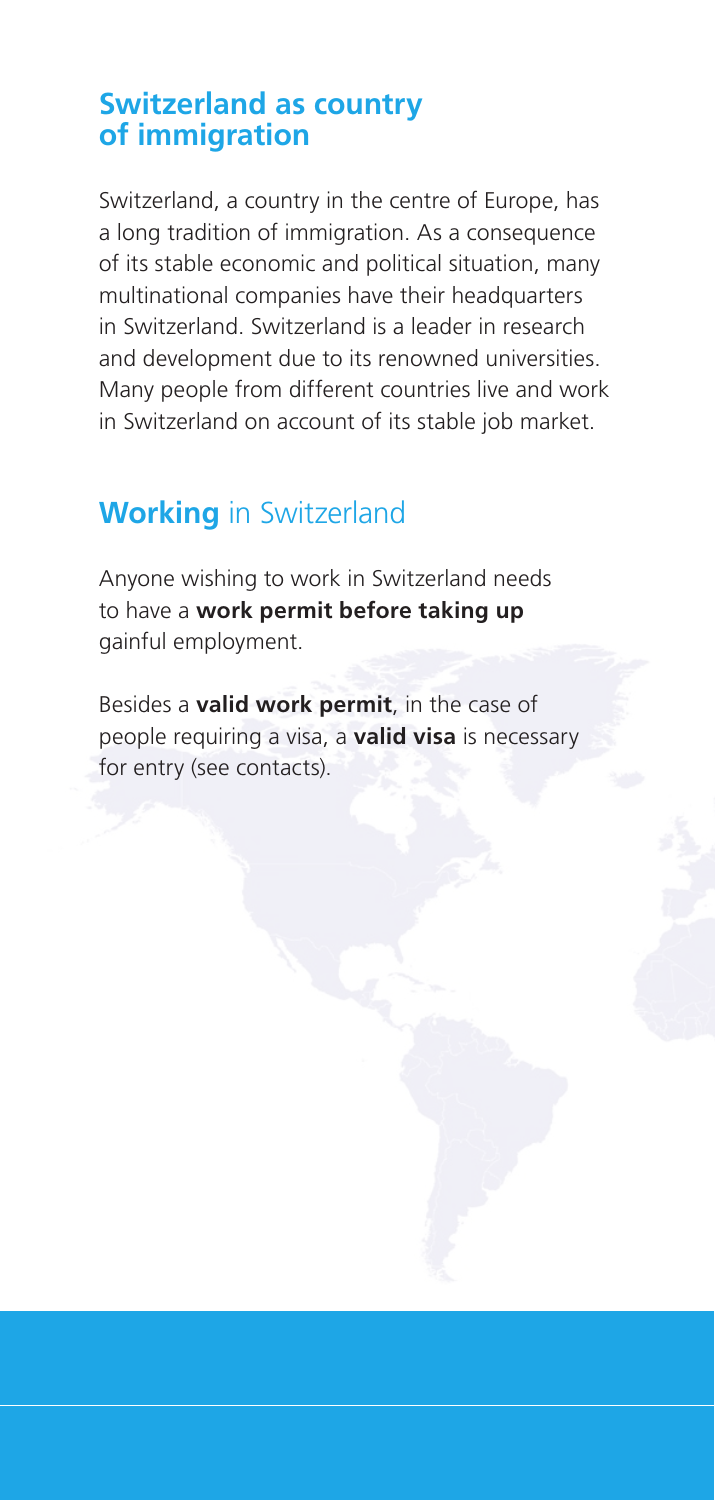## **Switzerland as country of immigration**

Switzerland, a country in the centre of Europe, has a long tradition of immigration. As a consequence of its stable economic and political situation, many multinational companies have their headquarters in Switzerland. Switzerland is a leader in research and development due to its renowned universities. Many people from different countries live and work in Switzerland on account of its stable job market.

# **Working** in Switzerland

Anyone wishing to work in Switzerland needs to have a **work permit before taking up** gainful employment.

Besides a **valid work permit**, in the case of people requiring a visa, a **valid visa** is necessary for entry (see contacts).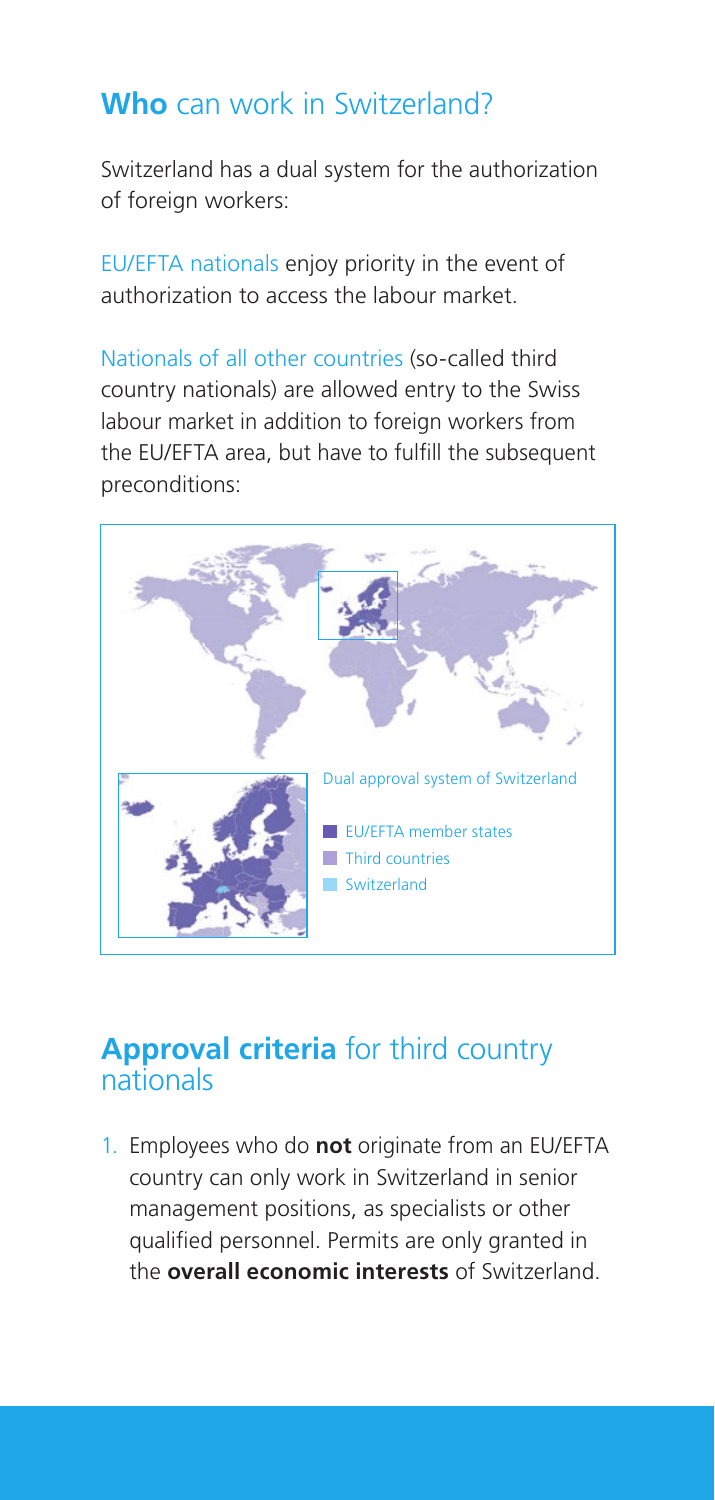# **Who** can work in Switzerland?

Switzerland has a dual system for the authorization of foreign workers:

EU/EFTA nationals enjoy priority in the event of authorization to access the labour market.

Nationals of all other countries (so-called third country nationals) are allowed entry to the Swiss labour market in addition to foreign workers from the EU/EFTA area, but have to fulfill the subsequent preconditions:



## **Approval criteria** for third country nationals

1. Employees who do **not** originate from an EU/EFTA country can only work in Switzerland in senior management positions, as specialists or other qualified personnel. Permits are only granted in the **overall economic interests** of Switzerland.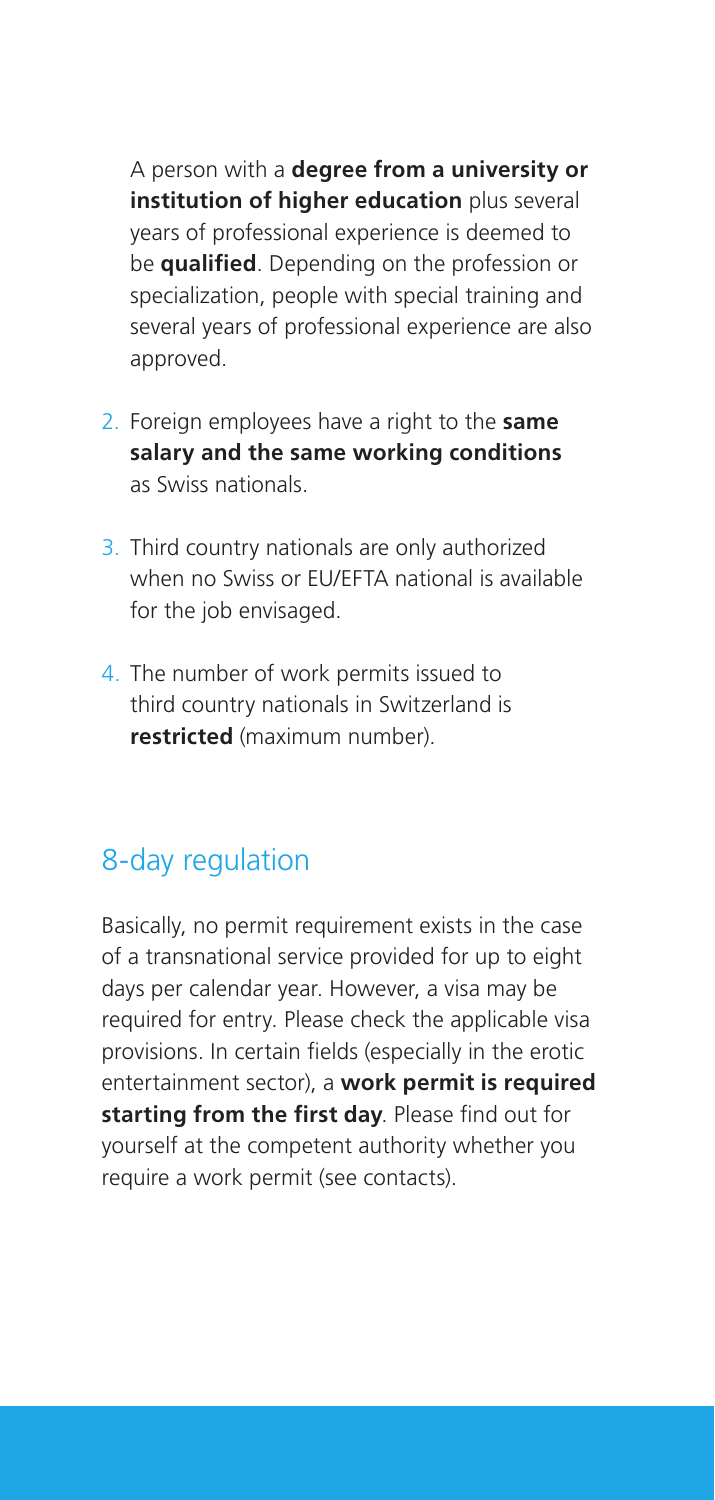A person with a **degree from a university or institution of higher education** plus several years of professional experience is deemed to be **qualified**. Depending on the profession or specialization, people with special training and several years of professional experience are also approved.

- 2. Foreign employees have a right to the **same salary and the same working conditions** as Swiss nationals.
- 3. Third country nationals are only authorized when no Swiss or EU/EFTA national is available for the job envisaged.
- 4. The number of work permits issued to third country nationals in Switzerland is **restricted** (maximum number).

# 8-day regulation

Basically, no permit requirement exists in the case of a transnational service provided for up to eight days per calendar year. However, a visa may be required for entry. Please check the applicable visa provisions. In certain fields (especially in the erotic entertainment sector), a **work permit is required starting from the first day**. Please find out for yourself at the competent authority whether you require a work permit (see contacts).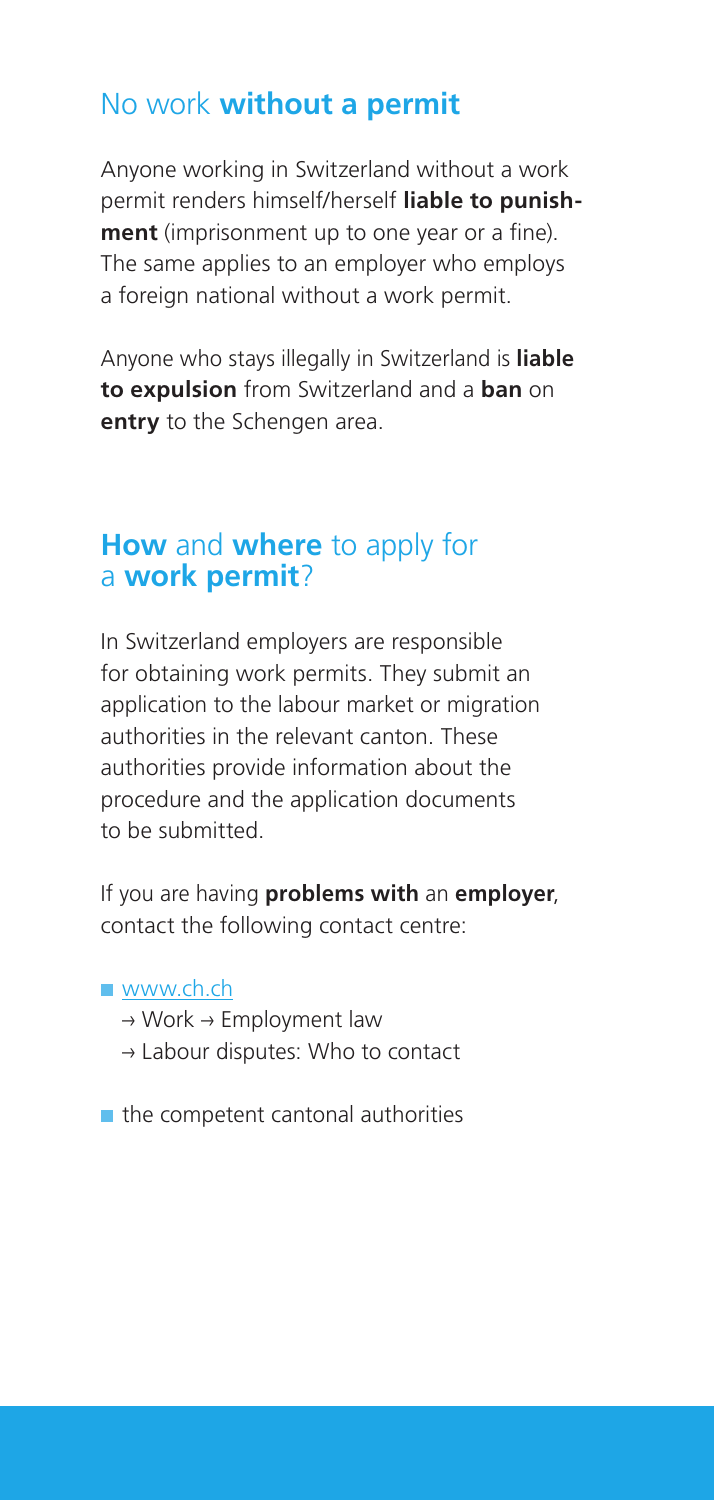# No work **without a permit**

Anyone working in Switzerland without a work permit renders himself/herself **liable to punishment** (imprisonment up to one year or a fine). The same applies to an employer who employs a foreign national without a work permit.

Anyone who stays illegally in Switzerland is **liable to expulsion** from Switzerland and a **ban** on **entry** to the Schengen area.

## **How** and **where** to apply for a **work permit**?

In Switzerland employers are responsible for obtaining work permits. They submit an application to the labour market or migration authorities in the relevant canton. These authorities provide information about the procedure and the application documents to be submitted.

If you are having **problems with** an **employer**, contact the following contact centre:

#### ■ www.ch.ch

- $\rightarrow$  Work  $\rightarrow$  Employment law
- $\rightarrow$  Labour disputes: Who to contact

 $\blacksquare$  the competent cantonal authorities